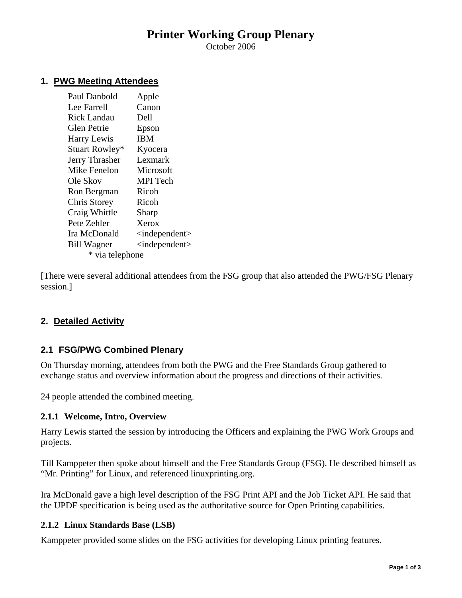# **Printer Working Group Plenary**

October 2006

#### **1. PWG Meeting Attendees**

| Paul Danbold        | Apple                           |
|---------------------|---------------------------------|
| Lee Farrell         | Canon                           |
| Rick Landau         | Dell                            |
| Glen Petrie         | Epson                           |
| <b>Harry Lewis</b>  | IBM                             |
| Stuart Rowley*      | Kyocera                         |
| Jerry Thrasher      | Lexmark                         |
| <b>Mike Fenelon</b> | Microsoft                       |
| Ole Skov            | <b>MPI</b> Tech                 |
| Ron Bergman         | Ricoh                           |
| Chris Storey        | Ricoh                           |
| Craig Whittle       | Sharp                           |
| Pete Zehler         | Xerox                           |
| Ira McDonald        | $\langle$ independent $\rangle$ |
| <b>Bill Wagner</b>  | <independent></independent>     |
| * via telephone     |                                 |

[There were several additional attendees from the FSG group that also attended the PWG/FSG Plenary session.]

## **2. Detailed Activity**

## **2.1 FSG/PWG Combined Plenary**

On Thursday morning, attendees from both the PWG and the Free Standards Group gathered to exchange status and overview information about the progress and directions of their activities.

24 people attended the combined meeting.

#### **2.1.1 Welcome, Intro, Overview**

Harry Lewis started the session by introducing the Officers and explaining the PWG Work Groups and projects.

Till Kamppeter then spoke about himself and the Free Standards Group (FSG). He described himself as "Mr. Printing" for Linux, and referenced linuxprinting.org.

Ira McDonald gave a high level description of the FSG Print API and the Job Ticket API. He said that the UPDF specification is being used as the authoritative source for Open Printing capabilities.

#### **2.1.2 Linux Standards Base (LSB)**

Kamppeter provided some slides on the FSG activities for developing Linux printing features.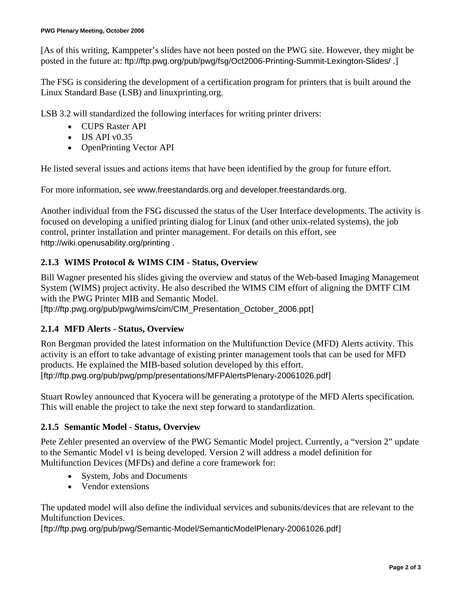[As of this writing, Kamppeter's slides have not been posted on the PWG site. However, they might be posted in the future at: ftp://ftp.pwg.org/pub/pwg/fsg/Oct2006-Printing-Summit-Lexington-Slides/.]

The FSG is considering the development of a certification program for printers that is built around the Linux Standard Base (LSB) and linuxprinting.org.

LSB 3.2 will standardized the following interfaces for writing printer drivers:

- CUPS Raster API
- $\bullet$  IJS API v0.35
- OpenPrinting Vector API

He listed several issues and actions items that have been identified by the group for future effort.

For more information, see www.freestandards.org and developer.freestandards.org.

Another individual from the FSG discussed the status of the User Interface developments. The activity is focused on developing a unified printing dialog for Linux (and other unix-related systems), the job control, printer installation and printer management. For details on this effort, see http://wiki.openusability.org/printing .

## **2.1.3 WIMS Protocol & WIMS CIM - Status, Overview**

Bill Wagner presented his slides giving the overview and status of the Web-based Imaging Management System (WIMS) project activity. He also described the WIMS CIM effort of aligning the DMTF CIM with the PWG Printer MIB and Semantic Model.

[ftp://ftp.pwg.org/pub/pwg/wims/cim/CIM\_Presentation\_October\_2006.ppt]

## **2.1.4 MFD Alerts - Status, Overview**

Ron Bergman provided the latest information on the Multifunction Device (MFD) Alerts activity. This activity is an effort to take advantage of existing printer management tools that can be used for MFD products. He explained the MIB-based solution developed by this effort. [ftp://ftp.pwg.org/pub/pwg/pmp/presentations/MFPAlertsPlenary-20061026.pdf]

Stuart Rowley announced that Kyocera will be generating a prototype of the MFD Alerts specification. This will enable the project to take the next step forward to standardization.

## **2.1.5 Semantic Model - Status, Overview**

Pete Zehler presented an overview of the PWG Semantic Model project. Currently, a "version 2" update to the Semantic Model v1 is being developed. Version 2 will address a model definition for Multifunction Devices (MFDs) and define a core framework for:

- System, Jobs and Documents
- Vendor extensions

The updated model will also define the individual services and subunits/devices that are relevant to the Multifunction Devices.

[ftp://ftp.pwg.org/pub/pwg/Semantic-Model/SemanticModelPlenary-20061026.pdf]